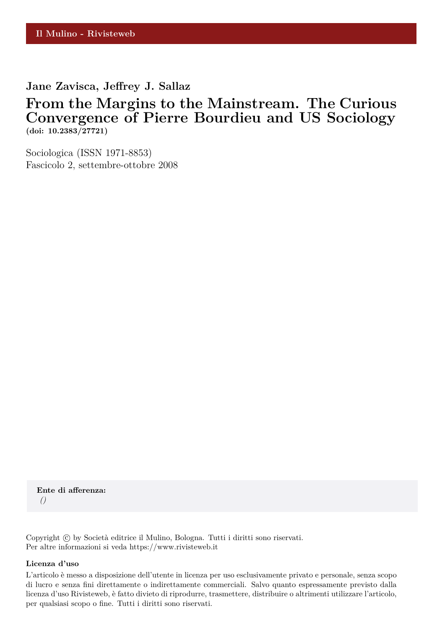## **Jane Zavisca, Jeffrey J. Sallaz**

# **From the Margins to the Mainstream. The Curious Convergence of Pierre Bourdieu and US Sociology (doi: 10.2383/27721)**

Sociologica (ISSN 1971-8853) Fascicolo 2, settembre-ottobre 2008

**Ente di afferenza:** *()*

Copyright © by Società editrice il Mulino, Bologna. Tutti i diritti sono riservati. Per altre informazioni si veda https://www.rivisteweb.it

#### **Licenza d'uso**

L'articolo è messo a disposizione dell'utente in licenza per uso esclusivamente privato e personale, senza scopo di lucro e senza fini direttamente o indirettamente commerciali. Salvo quanto espressamente previsto dalla licenza d'uso Rivisteweb, è fatto divieto di riprodurre, trasmettere, distribuire o altrimenti utilizzare l'articolo, per qualsiasi scopo o fine. Tutti i diritti sono riservati.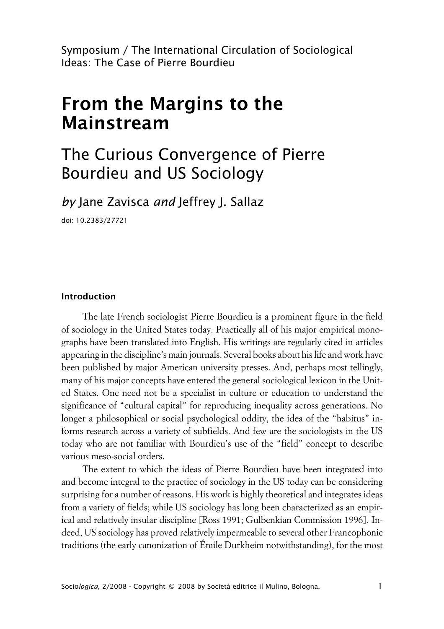Symposium / The International Circulation of Sociological Ideas: The Case of Pierre Bourdieu

# **From the Margins to the Mainstream**

# The Curious Convergence of Pierre Bourdieu and US Sociology

*by* Jane Zavisca *and* Jeffrey J. Sallaz

doi: 10.2383/27721

## **Introduction**

The late French sociologist Pierre Bourdieu is a prominent figure in the field of sociology in the United States today. Practically all of his major empirical monographs have been translated into English. His writings are regularly cited in articles appearing in the discipline's main journals. Several books about his life and work have been published by major American university presses. And, perhaps most tellingly, many of his major concepts have entered the general sociological lexicon in the United States. One need not be a specialist in culture or education to understand the significance of "cultural capital" for reproducing inequality across generations. No longer a philosophical or social psychological oddity, the idea of the "habitus" informs research across a variety of subfields. And few are the sociologists in the US today who are not familiar with Bourdieu's use of the "field" concept to describe various meso-social orders.

The extent to which the ideas of Pierre Bourdieu have been integrated into and become integral to the practice of sociology in the US today can be considering surprising for a number of reasons. His work is highly theoretical and integrates ideas from a variety of fields; while US sociology has long been characterized as an empirical and relatively insular discipline [Ross 1991; Gulbenkian Commission 1996]. Indeed, US sociology has proved relatively impermeable to several other Francophonic traditions (the early canonization of Émile Durkheim notwithstanding), for the most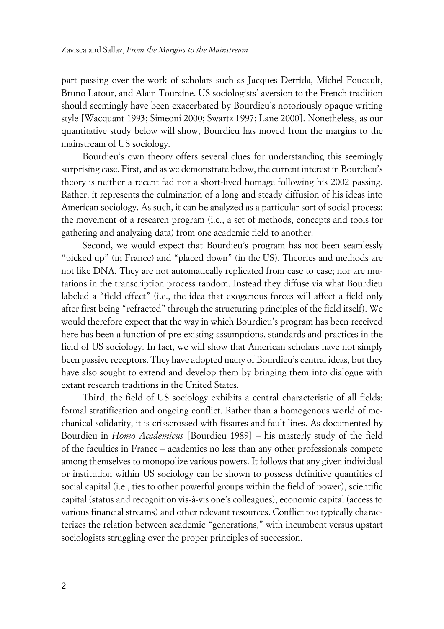part passing over the work of scholars such as Jacques Derrida, Michel Foucault, Bruno Latour, and Alain Touraine. US sociologists' aversion to the French tradition should seemingly have been exacerbated by Bourdieu's notoriously opaque writing style [Wacquant 1993; Simeoni 2000; Swartz 1997; Lane 2000]. Nonetheless, as our quantitative study below will show, Bourdieu has moved from the margins to the mainstream of US sociology.

Bourdieu's own theory offers several clues for understanding this seemingly surprising case. First, and as we demonstrate below, the current interest in Bourdieu's theory is neither a recent fad nor a short-lived homage following his 2002 passing. Rather, it represents the culmination of a long and steady diffusion of his ideas into American sociology. As such, it can be analyzed as a particular sort of social process: the movement of a research program (i.e., a set of methods, concepts and tools for gathering and analyzing data) from one academic field to another.

Second, we would expect that Bourdieu's program has not been seamlessly "picked up" (in France) and "placed down" (in the US). Theories and methods are not like DNA. They are not automatically replicated from case to case; nor are mutations in the transcription process random. Instead they diffuse via what Bourdieu labeled a "field effect" (i.e., the idea that exogenous forces will affect a field only after first being "refracted" through the structuring principles of the field itself). We would therefore expect that the way in which Bourdieu's program has been received here has been a function of pre-existing assumptions, standards and practices in the field of US sociology. In fact, we will show that American scholars have not simply been passive receptors. They have adopted many of Bourdieu's central ideas, but they have also sought to extend and develop them by bringing them into dialogue with extant research traditions in the United States.

Third, the field of US sociology exhibits a central characteristic of all fields: formal stratification and ongoing conflict. Rather than a homogenous world of mechanical solidarity, it is crisscrossed with fissures and fault lines. As documented by Bourdieu in *Homo Academicus* [Bourdieu 1989] – his masterly study of the field of the faculties in France – academics no less than any other professionals compete among themselves to monopolize various powers. It follows that any given individual or institution within US sociology can be shown to possess definitive quantities of social capital (i.e., ties to other powerful groups within the field of power), scientific capital (status and recognition vis-à-vis one's colleagues), economic capital (access to various financial streams) and other relevant resources. Conflict too typically characterizes the relation between academic "generations," with incumbent versus upstart sociologists struggling over the proper principles of succession.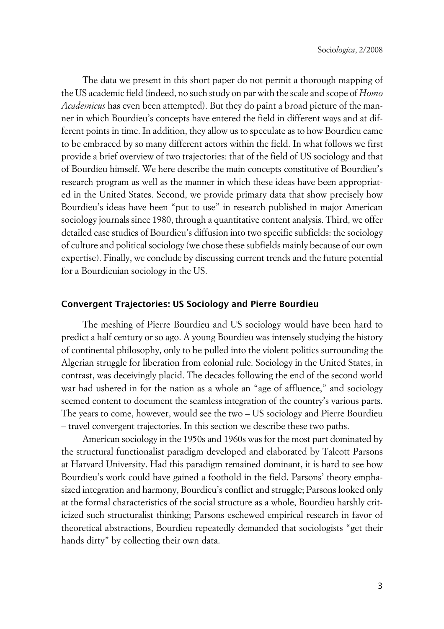The data we present in this short paper do not permit a thorough mapping of the US academic field (indeed, no such study on par with the scale and scope of *Homo Academicus* has even been attempted). But they do paint a broad picture of the manner in which Bourdieu's concepts have entered the field in different ways and at different points in time. In addition, they allow us to speculate as to how Bourdieu came to be embraced by so many different actors within the field. In what follows we first provide a brief overview of two trajectories: that of the field of US sociology and that of Bourdieu himself. We here describe the main concepts constitutive of Bourdieu's research program as well as the manner in which these ideas have been appropriated in the United States. Second, we provide primary data that show precisely how Bourdieu's ideas have been "put to use" in research published in major American sociology journals since 1980, through a quantitative content analysis. Third, we offer detailed case studies of Bourdieu's diffusion into two specific subfields: the sociology of culture and political sociology (we chose these subfields mainly because of our own expertise). Finally, we conclude by discussing current trends and the future potential for a Bourdieuian sociology in the US.

#### **xConvergent Trajectories: US Sociology and Pierre Bourdieu**

The meshing of Pierre Bourdieu and US sociology would have been hard to predict a half century or so ago. A young Bourdieu was intensely studying the history of continental philosophy, only to be pulled into the violent politics surrounding the Algerian struggle for liberation from colonial rule. Sociology in the United States, in contrast, was deceivingly placid. The decades following the end of the second world war had ushered in for the nation as a whole an "age of affluence," and sociology seemed content to document the seamless integration of the country's various parts. The years to come, however, would see the two – US sociology and Pierre Bourdieu – travel convergent trajectories. In this section we describe these two paths.

American sociology in the 1950s and 1960s was for the most part dominated by the structural functionalist paradigm developed and elaborated by Talcott Parsons at Harvard University. Had this paradigm remained dominant, it is hard to see how Bourdieu's work could have gained a foothold in the field. Parsons' theory emphasized integration and harmony, Bourdieu's conflict and struggle; Parsons looked only at the formal characteristics of the social structure as a whole, Bourdieu harshly criticized such structuralist thinking; Parsons eschewed empirical research in favor of theoretical abstractions, Bourdieu repeatedly demanded that sociologists "get their hands dirty" by collecting their own data.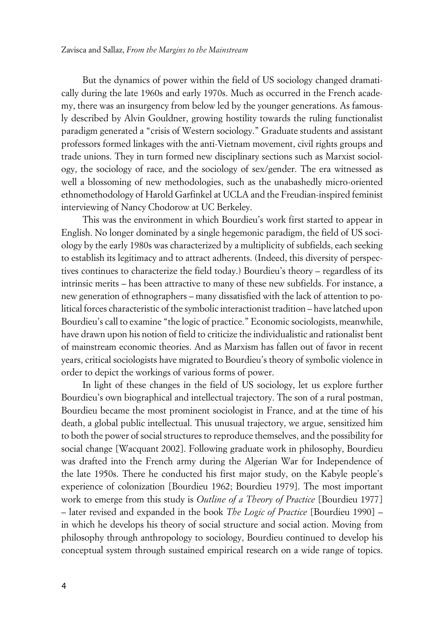But the dynamics of power within the field of US sociology changed dramatically during the late 1960s and early 1970s. Much as occurred in the French academy, there was an insurgency from below led by the younger generations. As famously described by Alvin Gouldner, growing hostility towards the ruling functionalist paradigm generated a "crisis of Western sociology." Graduate students and assistant professors formed linkages with the anti-Vietnam movement, civil rights groups and trade unions. They in turn formed new disciplinary sections such as Marxist sociology, the sociology of race, and the sociology of sex/gender. The era witnessed as well a blossoming of new methodologies, such as the unabashedly micro-oriented ethnomethodology of Harold Garfinkel at UCLA and the Freudian-inspired feminist interviewing of Nancy Chodorow at UC Berkeley.

This was the environment in which Bourdieu's work first started to appear in English. No longer dominated by a single hegemonic paradigm, the field of US sociology by the early 1980s was characterized by a multiplicity of subfields, each seeking to establish its legitimacy and to attract adherents. (Indeed, this diversity of perspectives continues to characterize the field today.) Bourdieu's theory – regardless of its intrinsic merits – has been attractive to many of these new subfields. For instance, a new generation of ethnographers – many dissatisfied with the lack of attention to political forces characteristic of the symbolic interactionist tradition – have latched upon Bourdieu's call to examine "the logic of practice." Economic sociologists, meanwhile, have drawn upon his notion of field to criticize the individualistic and rationalist bent of mainstream economic theories. And as Marxism has fallen out of favor in recent years, critical sociologists have migrated to Bourdieu's theory of symbolic violence in order to depict the workings of various forms of power.

In light of these changes in the field of US sociology, let us explore further Bourdieu's own biographical and intellectual trajectory. The son of a rural postman, Bourdieu became the most prominent sociologist in France, and at the time of his death, a global public intellectual. This unusual trajectory, we argue, sensitized him to both the power of social structures to reproduce themselves, and the possibility for social change [Wacquant 2002]. Following graduate work in philosophy, Bourdieu was drafted into the French army during the Algerian War for Independence of the late 1950s. There he conducted his first major study, on the Kabyle people's experience of colonization [Bourdieu 1962; Bourdieu 1979]. The most important work to emerge from this study is *Outline of a Theory of Practice* [Bourdieu 1977] – later revised and expanded in the book *The Logic of Practice* [Bourdieu 1990] – in which he develops his theory of social structure and social action. Moving from philosophy through anthropology to sociology, Bourdieu continued to develop his conceptual system through sustained empirical research on a wide range of topics.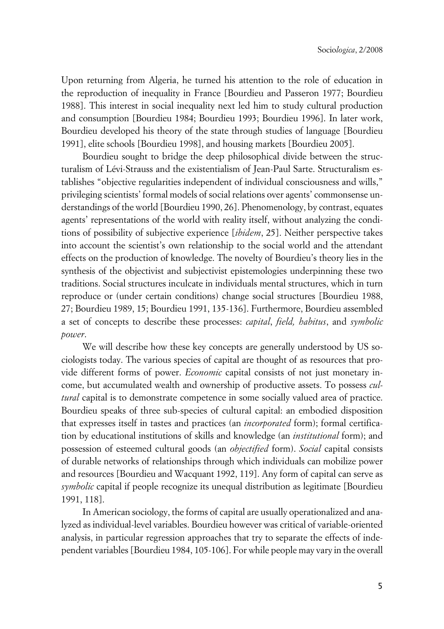Upon returning from Algeria, he turned his attention to the role of education in the reproduction of inequality in France [Bourdieu and Passeron 1977; Bourdieu 1988]. This interest in social inequality next led him to study cultural production and consumption [Bourdieu 1984; Bourdieu 1993; Bourdieu 1996]. In later work, Bourdieu developed his theory of the state through studies of language [Bourdieu 1991], elite schools [Bourdieu 1998], and housing markets [Bourdieu 2005].

Bourdieu sought to bridge the deep philosophical divide between the structuralism of Lévi-Strauss and the existentialism of Jean-Paul Sarte. Structuralism establishes "objective regularities independent of individual consciousness and wills," privileging scientists' formal models of social relations over agents' commonsense understandings of the world [Bourdieu 1990, 26]. Phenomenology, by contrast, equates agents' representations of the world with reality itself, without analyzing the conditions of possibility of subjective experience [*ibidem*, 25]. Neither perspective takes into account the scientist's own relationship to the social world and the attendant effects on the production of knowledge. The novelty of Bourdieu's theory lies in the synthesis of the objectivist and subjectivist epistemologies underpinning these two traditions. Social structures inculcate in individuals mental structures, which in turn reproduce or (under certain conditions) change social structures [Bourdieu 1988, 27; Bourdieu 1989, 15; Bourdieu 1991, 135-136]. Furthermore, Bourdieu assembled a set of concepts to describe these processes: *capital*, *field, habitus*, and *symbolic power*.

We will describe how these key concepts are generally understood by US sociologists today. The various species of capital are thought of as resources that provide different forms of power. *Economic* capital consists of not just monetary income, but accumulated wealth and ownership of productive assets. To possess *cultural* capital is to demonstrate competence in some socially valued area of practice. Bourdieu speaks of three sub-species of cultural capital: an embodied disposition that expresses itself in tastes and practices (an *incorporated* form); formal certification by educational institutions of skills and knowledge (an *institutional* form); and possession of esteemed cultural goods (an *objectified* form). *Social* capital consists of durable networks of relationships through which individuals can mobilize power and resources [Bourdieu and Wacquant 1992, 119]. Any form of capital can serve as *symbolic* capital if people recognize its unequal distribution as legitimate [Bourdieu 1991, 118].

In American sociology, the forms of capital are usually operationalized and analyzed as individual-level variables. Bourdieu however was critical of variable-oriented analysis, in particular regression approaches that try to separate the effects of independent variables [Bourdieu 1984, 105-106]. For while people may vary in the overall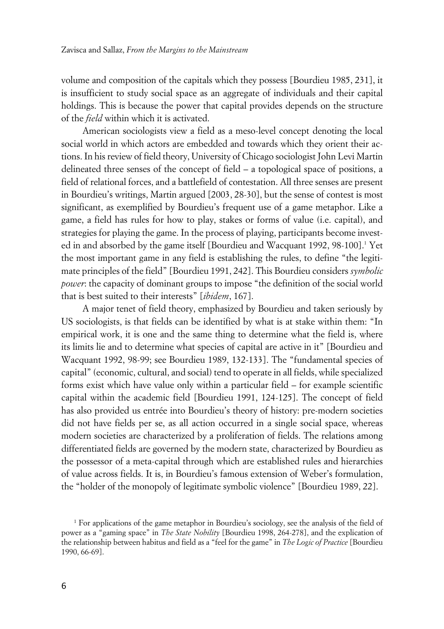volume and composition of the capitals which they possess [Bourdieu 1985, 231], it is insufficient to study social space as an aggregate of individuals and their capital holdings. This is because the power that capital provides depends on the structure of the *field* within which it is activated.

American sociologists view a field as a meso-level concept denoting the local social world in which actors are embedded and towards which they orient their actions. In his review of field theory, University of Chicago sociologist John Levi Martin delineated three senses of the concept of field – a topological space of positions, a field of relational forces, and a battlefield of contestation. All three senses are present in Bourdieu's writings, Martin argued [2003, 28-30], but the sense of contest is most significant, as exemplified by Bourdieu's frequent use of a game metaphor. Like a game, a field has rules for how to play, stakes or forms of value (i.e. capital), and strategies for playing the game. In the process of playing, participants become invested in and absorbed by the game itself [Bourdieu and Wacquant 1992, 98-100].<sup>1</sup> Yet the most important game in any field is establishing the rules, to define "the legitimate principles of the field" [Bourdieu 1991, 242]. This Bourdieu considers *symbolic power*: the capacity of dominant groups to impose "the definition of the social world that is best suited to their interests" [*ibidem*, 167].

A major tenet of field theory, emphasized by Bourdieu and taken seriously by US sociologists, is that fields can be identified by what is at stake within them: "In empirical work, it is one and the same thing to determine what the field is, where its limits lie and to determine what species of capital are active in it" [Bourdieu and Wacquant 1992, 98-99; see Bourdieu 1989, 132-133]. The "fundamental species of capital" (economic, cultural, and social) tend to operate in all fields, while specialized forms exist which have value only within a particular field – for example scientific capital within the academic field [Bourdieu 1991, 124-125]. The concept of field has also provided us entrée into Bourdieu's theory of history: pre-modern societies did not have fields per se, as all action occurred in a single social space, whereas modern societies are characterized by a proliferation of fields. The relations among differentiated fields are governed by the modern state, characterized by Bourdieu as the possessor of a meta-capital through which are established rules and hierarchies of value across fields. It is, in Bourdieu's famous extension of Weber's formulation, the "holder of the monopoly of legitimate symbolic violence" [Bourdieu 1989, 22].

<sup>1</sup> For applications of the game metaphor in Bourdieu's sociology, see the analysis of the field of power as a "gaming space" in *The State Nobility* [Bourdieu 1998, 264-278], and the explication of the relationship between habitus and field as a "feel for the game" in *The Logic of Practice* [Bourdieu 1990, 66-69].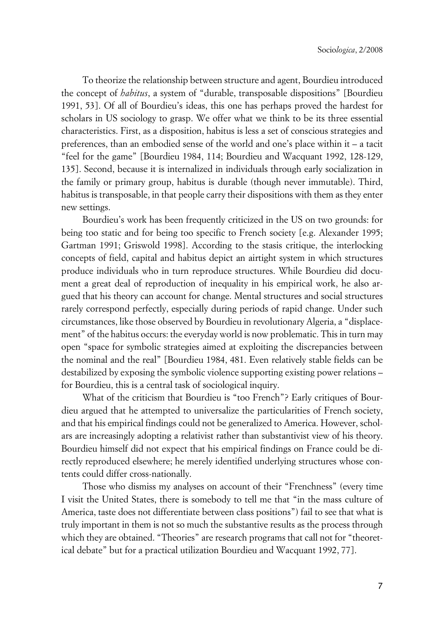To theorize the relationship between structure and agent, Bourdieu introduced the concept of *habitus*, a system of "durable, transposable dispositions" [Bourdieu 1991, 53]. Of all of Bourdieu's ideas, this one has perhaps proved the hardest for scholars in US sociology to grasp. We offer what we think to be its three essential characteristics. First, as a disposition, habitus is less a set of conscious strategies and preferences, than an embodied sense of the world and one's place within it – a tacit "feel for the game" [Bourdieu 1984, 114; Bourdieu and Wacquant 1992, 128-129, 135]. Second, because it is internalized in individuals through early socialization in the family or primary group, habitus is durable (though never immutable). Third, habitus is transposable, in that people carry their dispositions with them as they enter new settings.

Bourdieu's work has been frequently criticized in the US on two grounds: for being too static and for being too specific to French society [e.g. Alexander 1995; Gartman 1991; Griswold 1998]. According to the stasis critique, the interlocking concepts of field, capital and habitus depict an airtight system in which structures produce individuals who in turn reproduce structures. While Bourdieu did document a great deal of reproduction of inequality in his empirical work, he also argued that his theory can account for change. Mental structures and social structures rarely correspond perfectly, especially during periods of rapid change. Under such circumstances, like those observed by Bourdieu in revolutionary Algeria, a "displacement" of the habitus occurs: the everyday world is now problematic. This in turn may open "space for symbolic strategies aimed at exploiting the discrepancies between the nominal and the real" [Bourdieu 1984, 481. Even relatively stable fields can be destabilized by exposing the symbolic violence supporting existing power relations – for Bourdieu, this is a central task of sociological inquiry.

What of the criticism that Bourdieu is "too French"? Early critiques of Bourdieu argued that he attempted to universalize the particularities of French society, and that his empirical findings could not be generalized to America. However, scholars are increasingly adopting a relativist rather than substantivist view of his theory. Bourdieu himself did not expect that his empirical findings on France could be directly reproduced elsewhere; he merely identified underlying structures whose contents could differ cross-nationally.

Those who dismiss my analyses on account of their "Frenchness" (every time I visit the United States, there is somebody to tell me that "in the mass culture of America, taste does not differentiate between class positions") fail to see that what is truly important in them is not so much the substantive results as the process through which they are obtained. "Theories" are research programs that call not for "theoretical debate" but for a practical utilization Bourdieu and Wacquant 1992, 77].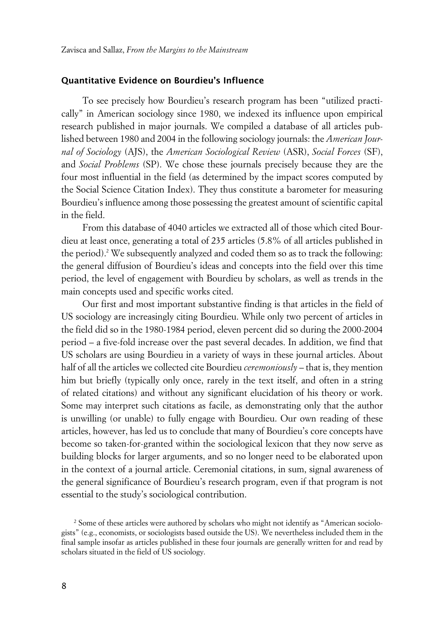#### **xQuantitative Evidence on Bourdieu's Influence**

To see precisely how Bourdieu's research program has been "utilized practically" in American sociology since 1980, we indexed its influence upon empirical research published in major journals. We compiled a database of all articles published between 1980 and 2004 in the following sociology journals: the *American Journal of Sociology* (AJS), the *American Sociological Review* (ASR), *Social Forces* (SF), and *Social Problems* (SP). We chose these journals precisely because they are the four most influential in the field (as determined by the impact scores computed by the Social Science Citation Index). They thus constitute a barometer for measuring Bourdieu's influence among those possessing the greatest amount of scientific capital in the field.

From this database of 4040 articles we extracted all of those which cited Bourdieu at least once, generating a total of 235 articles (5.8% of all articles published in the period).<sup>2</sup> We subsequently analyzed and coded them so as to track the following: the general diffusion of Bourdieu's ideas and concepts into the field over this time period, the level of engagement with Bourdieu by scholars, as well as trends in the main concepts used and specific works cited.

Our first and most important substantive finding is that articles in the field of US sociology are increasingly citing Bourdieu. While only two percent of articles in the field did so in the 1980-1984 period, eleven percent did so during the 2000-2004 period – a five-fold increase over the past several decades. In addition, we find that US scholars are using Bourdieu in a variety of ways in these journal articles. About half of all the articles we collected cite Bourdieu *ceremoniously* – that is, they mention him but briefly (typically only once, rarely in the text itself, and often in a string of related citations) and without any significant elucidation of his theory or work. Some may interpret such citations as facile, as demonstrating only that the author is unwilling (or unable) to fully engage with Bourdieu. Our own reading of these articles, however, has led us to conclude that many of Bourdieu's core concepts have become so taken-for-granted within the sociological lexicon that they now serve as building blocks for larger arguments, and so no longer need to be elaborated upon in the context of a journal article. Ceremonial citations, in sum, signal awareness of the general significance of Bourdieu's research program, even if that program is not essential to the study's sociological contribution.

<sup>2</sup> Some of these articles were authored by scholars who might not identify as "American sociologists" (e.g., economists, or sociologists based outside the US). We nevertheless included them in the final sample insofar as articles published in these four journals are generally written for and read by scholars situated in the field of US sociology.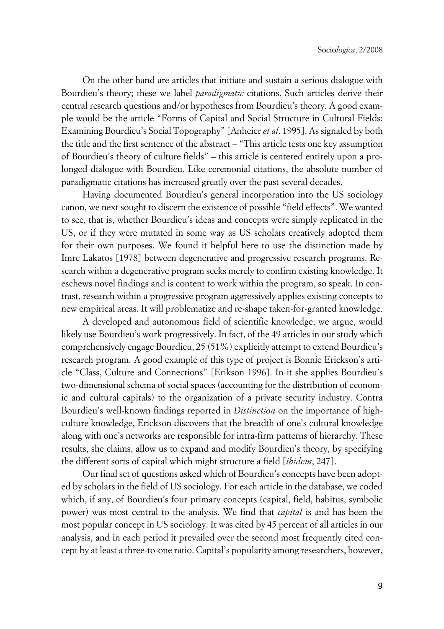On the other hand are articles that initiate and sustain a serious dialogue with Bourdieu's theory; these we label *paradigmatic* citations. Such articles derive their central research questions and/or hypotheses from Bourdieu's theory. A good example would be the article "Forms of Capital and Social Structure in Cultural Fields: Examining Bourdieu's Social Topography" [Anheier *et al*. 1995]. As signaled by both the title and the first sentence of the abstract – "This article tests one key assumption of Bourdieu's theory of culture fields" – this article is centered entirely upon a prolonged dialogue with Bourdieu. Like ceremonial citations, the absolute number of paradigmatic citations has increased greatly over the past several decades.

Having documented Bourdieu's general incorporation into the US sociology canon, we next sought to discern the existence of possible "field effects". We wanted to see, that is, whether Bourdieu's ideas and concepts were simply replicated in the US, or if they were mutated in some way as US scholars creatively adopted them for their own purposes. We found it helpful here to use the distinction made by Imre Lakatos [1978] between degenerative and progressive research programs. Research within a degenerative program seeks merely to confirm existing knowledge. It eschews novel findings and is content to work within the program, so speak. In contrast, research within a progressive program aggressively applies existing concepts to new empirical areas. It will problematize and re-shape taken-for-granted knowledge.

A developed and autonomous field of scientific knowledge, we argue, would likely use Bourdieu's work progressively. In fact, of the 49 articles in our study which comprehensively engage Bourdieu, 25 (51%) explicitly attempt to extend Bourdieu's research program. A good example of this type of project is Bonnie Erickson's article "Class, Culture and Connections" [Erikson 1996]. In it she applies Bourdieu's two-dimensional schema of social spaces (accounting for the distribution of economic and cultural capitals) to the organization of a private security industry. Contra Bourdieu's well-known findings reported in *Distinction* on the importance of highculture knowledge, Erickson discovers that the breadth of one's cultural knowledge along with one's networks are responsible for intra-firm patterns of hierarchy. These results, she claims, allow us to expand and modify Bourdieu's theory, by specifying the different sorts of capital which might structure a field [*ibidem*, 247].

Our final set of questions asked which of Bourdieu's concepts have been adopted by scholars in the field of US sociology. For each article in the database, we coded which, if any, of Bourdieu's four primary concepts (capital, field, habitus, symbolic power) was most central to the analysis. We find that *capital* is and has been the most popular concept in US sociology. It was cited by 45 percent of all articles in our analysis, and in each period it prevailed over the second most frequently cited concept by at least a three-to-one ratio. Capital's popularity among researchers, however,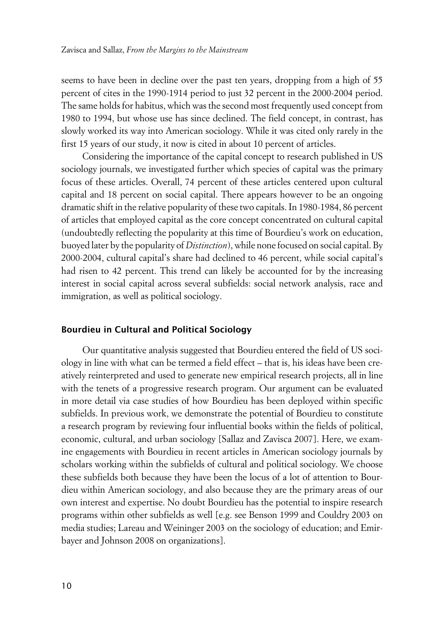seems to have been in decline over the past ten years, dropping from a high of 55 percent of cites in the 1990-1914 period to just 32 percent in the 2000-2004 period. The same holds for habitus, which was the second most frequently used concept from 1980 to 1994, but whose use has since declined. The field concept, in contrast, has slowly worked its way into American sociology. While it was cited only rarely in the first 15 years of our study, it now is cited in about 10 percent of articles.

Considering the importance of the capital concept to research published in US sociology journals, we investigated further which species of capital was the primary focus of these articles. Overall, 74 percent of these articles centered upon cultural capital and 18 percent on social capital. There appears however to be an ongoing dramatic shift in the relative popularity of these two capitals. In 1980-1984, 86 percent of articles that employed capital as the core concept concentrated on cultural capital (undoubtedly reflecting the popularity at this time of Bourdieu's work on education, buoyed later by the popularity of *Distinction*), while none focused on social capital. By 2000-2004, cultural capital's share had declined to 46 percent, while social capital's had risen to 42 percent. This trend can likely be accounted for by the increasing interest in social capital across several subfields: social network analysis, race and immigration, as well as political sociology.

#### **xBourdieu in Cultural and Political Sociology**

Our quantitative analysis suggested that Bourdieu entered the field of US sociology in line with what can be termed a field effect – that is, his ideas have been creatively reinterpreted and used to generate new empirical research projects, all in line with the tenets of a progressive research program. Our argument can be evaluated in more detail via case studies of how Bourdieu has been deployed within specific subfields. In previous work, we demonstrate the potential of Bourdieu to constitute a research program by reviewing four influential books within the fields of political, economic, cultural, and urban sociology [Sallaz and Zavisca 2007]. Here, we examine engagements with Bourdieu in recent articles in American sociology journals by scholars working within the subfields of cultural and political sociology. We choose these subfields both because they have been the locus of a lot of attention to Bourdieu within American sociology, and also because they are the primary areas of our own interest and expertise. No doubt Bourdieu has the potential to inspire research programs within other subfields as well [e.g. see Benson 1999 and Couldry 2003 on media studies; Lareau and Weininger 2003 on the sociology of education; and Emirbayer and Johnson 2008 on organizations].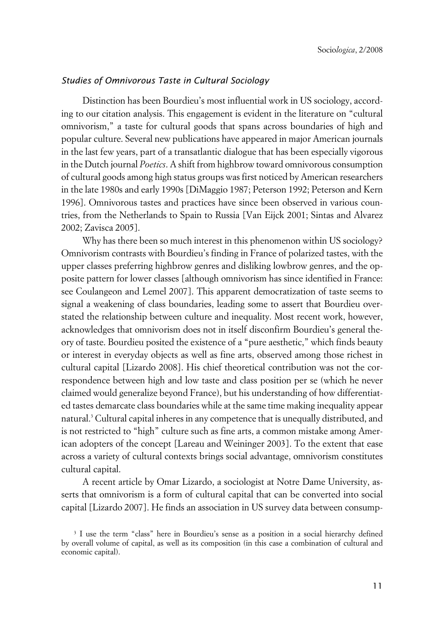## x*Studies of Omnivorous Taste in Cultural Sociology*

Distinction has been Bourdieu's most influential work in US sociology, according to our citation analysis. This engagement is evident in the literature on "cultural omnivorism," a taste for cultural goods that spans across boundaries of high and popular culture. Several new publications have appeared in major American journals in the last few years, part of a transatlantic dialogue that has been especially vigorous in the Dutch journal *Poetics*. A shift from highbrow toward omnivorous consumption of cultural goods among high status groups was first noticed by American researchers in the late 1980s and early 1990s [DiMaggio 1987; Peterson 1992; Peterson and Kern 1996]. Omnivorous tastes and practices have since been observed in various countries, from the Netherlands to Spain to Russia [Van Eijck 2001; Sintas and Alvarez 2002; Zavisca 2005].

Why has there been so much interest in this phenomenon within US sociology? Omnivorism contrasts with Bourdieu's finding in France of polarized tastes, with the upper classes preferring highbrow genres and disliking lowbrow genres, and the opposite pattern for lower classes [although omnivorism has since identified in France: see Coulangeon and Lemel 2007]. This apparent democratization of taste seems to signal a weakening of class boundaries, leading some to assert that Bourdieu overstated the relationship between culture and inequality. Most recent work, however, acknowledges that omnivorism does not in itself disconfirm Bourdieu's general theory of taste. Bourdieu posited the existence of a "pure aesthetic," which finds beauty or interest in everyday objects as well as fine arts, observed among those richest in cultural capital [Lizardo 2008]. His chief theoretical contribution was not the correspondence between high and low taste and class position per se (which he never claimed would generalize beyond France), but his understanding of how differentiated tastes demarcate class boundaries while at the same time making inequality appear natural.<sup>3</sup> Cultural capital inheres in any competence that is unequally distributed, and is not restricted to "high" culture such as fine arts, a common mistake among American adopters of the concept [Lareau and Weininger 2003]. To the extent that ease across a variety of cultural contexts brings social advantage, omnivorism constitutes cultural capital.

A recent article by Omar Lizardo, a sociologist at Notre Dame University, asserts that omnivorism is a form of cultural capital that can be converted into social capital [Lizardo 2007]. He finds an association in US survey data between consump-

<sup>3</sup> I use the term "class" here in Bourdieu's sense as a position in a social hierarchy defined by overall volume of capital, as well as its composition (in this case a combination of cultural and economic capital).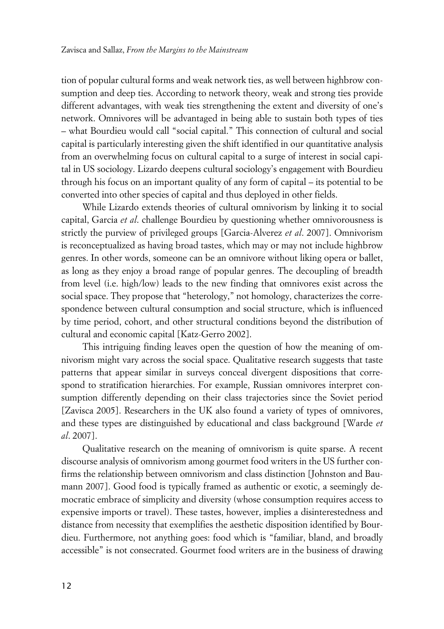tion of popular cultural forms and weak network ties, as well between highbrow consumption and deep ties. According to network theory, weak and strong ties provide different advantages, with weak ties strengthening the extent and diversity of one's network. Omnivores will be advantaged in being able to sustain both types of ties – what Bourdieu would call "social capital." This connection of cultural and social capital is particularly interesting given the shift identified in our quantitative analysis from an overwhelming focus on cultural capital to a surge of interest in social capital in US sociology. Lizardo deepens cultural sociology's engagement with Bourdieu through his focus on an important quality of any form of capital – its potential to be converted into other species of capital and thus deployed in other fields.

While Lizardo extends theories of cultural omnivorism by linking it to social capital, Garcia *et al*. challenge Bourdieu by questioning whether omnivorousness is strictly the purview of privileged groups [Garcia-Alverez *et al*. 2007]. Omnivorism is reconceptualized as having broad tastes, which may or may not include highbrow genres. In other words, someone can be an omnivore without liking opera or ballet, as long as they enjoy a broad range of popular genres. The decoupling of breadth from level (i.e. high/low) leads to the new finding that omnivores exist across the social space. They propose that "heterology," not homology, characterizes the correspondence between cultural consumption and social structure, which is influenced by time period, cohort, and other structural conditions beyond the distribution of cultural and economic capital [Katz-Gerro 2002].

This intriguing finding leaves open the question of how the meaning of omnivorism might vary across the social space. Qualitative research suggests that taste patterns that appear similar in surveys conceal divergent dispositions that correspond to stratification hierarchies. For example, Russian omnivores interpret consumption differently depending on their class trajectories since the Soviet period [Zavisca 2005]. Researchers in the UK also found a variety of types of omnivores, and these types are distinguished by educational and class background [Warde *et al*. 2007].

Qualitative research on the meaning of omnivorism is quite sparse. A recent discourse analysis of omnivorism among gourmet food writers in the US further confirms the relationship between omnivorism and class distinction [Johnston and Baumann 2007]. Good food is typically framed as authentic or exotic, a seemingly democratic embrace of simplicity and diversity (whose consumption requires access to expensive imports or travel). These tastes, however, implies a disinterestedness and distance from necessity that exemplifies the aesthetic disposition identified by Bourdieu. Furthermore, not anything goes: food which is "familiar, bland, and broadly accessible" is not consecrated. Gourmet food writers are in the business of drawing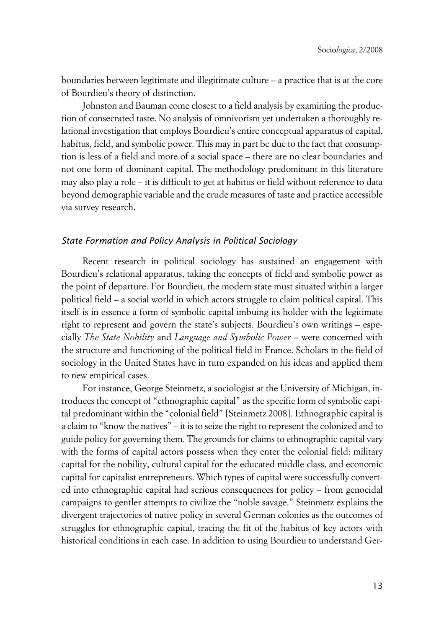boundaries between legitimate and illegitimate culture – a practice that is at the core of Bourdieu's theory of distinction.

Johnston and Bauman come closest to a field analysis by examining the production of consecrated taste. No analysis of omnivorism yet undertaken a thoroughly relational investigation that employs Bourdieu's entire conceptual apparatus of capital, habitus, field, and symbolic power. This may in part be due to the fact that consumption is less of a field and more of a social space – there are no clear boundaries and not one form of dominant capital. The methodology predominant in this literature may also play a role – it is difficult to get at habitus or field without reference to data beyond demographic variable and the crude measures of taste and practice accessible via survey research.

## x*State Formation and Policy Analysis in Political Sociology*

Recent research in political sociology has sustained an engagement with Bourdieu's relational apparatus, taking the concepts of field and symbolic power as the point of departure. For Bourdieu, the modern state must situated within a larger political field – a social world in which actors struggle to claim political capital. This itself is in essence a form of symbolic capital imbuing its holder with the legitimate right to represent and govern the state's subjects. Bourdieu's own writings – especially *The State Nobility* and *Language and Symbolic Power* – were concerned with the structure and functioning of the political field in France. Scholars in the field of sociology in the United States have in turn expanded on his ideas and applied them to new empirical cases.

For instance, George Steinmetz, a sociologist at the University of Michigan, introduces the concept of "ethnographic capital" as the specific form of symbolic capital predominant within the "colonial field" [Steinmetz 2008]. Ethnographic capital is a claim to "know the natives" – it is to seize the right to represent the colonized and to guide policy for governing them. The grounds for claims to ethnographic capital vary with the forms of capital actors possess when they enter the colonial field: military capital for the nobility, cultural capital for the educated middle class, and economic capital for capitalist entrepreneurs. Which types of capital were successfully converted into ethnographic capital had serious consequences for policy – from genocidal campaigns to gentler attempts to civilize the "noble savage." Steinmetz explains the divergent trajectories of native policy in several German colonies as the outcomes of struggles for ethnographic capital, tracing the fit of the habitus of key actors with historical conditions in each case. In addition to using Bourdieu to understand Ger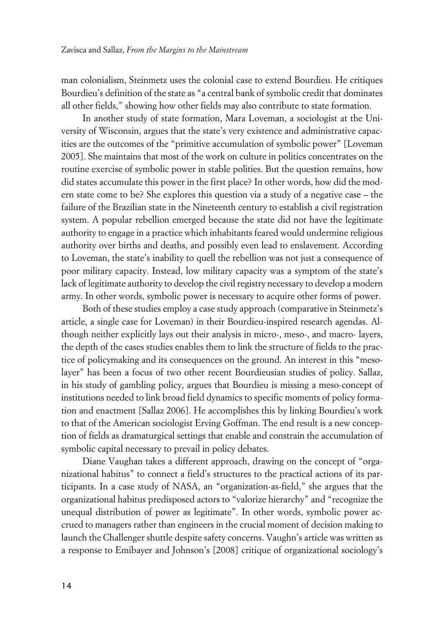man colonialism, Steinmetz uses the colonial case to extend Bourdieu. He critiques Bourdieu's definition of the state as "a central bank of symbolic credit that dominates all other fields," showing how other fields may also contribute to state formation.

In another study of state formation, Mara Loveman, a sociologist at the University of Wisconsin, argues that the state's very existence and administrative capacities are the outcomes of the "primitive accumulation of symbolic power" [Loveman 2005]. She maintains that most of the work on culture in politics concentrates on the routine exercise of symbolic power in stable polities. But the question remains, how did states accumulate this power in the first place? In other words, how did the modern state come to be? She explores this question via a study of a negative case – the failure of the Brazilian state in the Nineteenth century to establish a civil registration system. A popular rebellion emerged because the state did not have the legitimate authority to engage in a practice which inhabitants feared would undermine religious authority over births and deaths, and possibly even lead to enslavement. According to Loveman, the state's inability to quell the rebellion was not just a consequence of poor military capacity. Instead, low military capacity was a symptom of the state's lack of legitimate authority to develop the civil registry necessary to develop a modern army. In other words, symbolic power is necessary to acquire other forms of power.

Both of these studies employ a case study approach (comparative in Steinmetz's article, a single case for Loveman) in their Bourdieu-inspired research agendas. Although neither explicitly lays out their analysis in micro-, meso-, and macro- layers, the depth of the cases studies enables them to link the structure of fields to the practice of policymaking and its consequences on the ground. An interest in this "mesolayer" has been a focus of two other recent Bourdieusian studies of policy. Sallaz, in his study of gambling policy, argues that Bourdieu is missing a meso-concept of institutions needed to link broad field dynamics to specific moments of policy formation and enactment [Sallaz 2006]. He accomplishes this by linking Bourdieu's work to that of the American sociologist Erving Goffman. The end result is a new conception of fields as dramaturgical settings that enable and constrain the accumulation of symbolic capital necessary to prevail in policy debates.

Diane Vaughan takes a different approach, drawing on the concept of "organizational habitus" to connect a field's structures to the practical actions of its participants. In a case study of NASA, an "organization-as-field," she argues that the organizational habitus predisposed actors to "valorize hierarchy" and "recognize the unequal distribution of power as legitimate". In other words, symbolic power accrued to managers rather than engineers in the crucial moment of decision making to launch the Challenger shuttle despite safety concerns. Vaughn's article was written as a response to Emibayer and Johnson's [2008] critique of organizational sociology's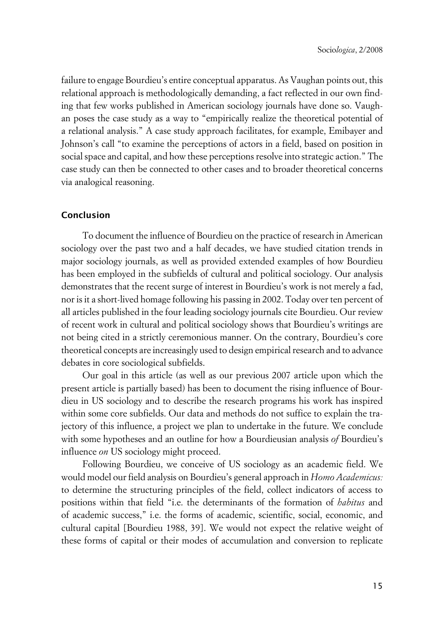failure to engage Bourdieu's entire conceptual apparatus. As Vaughan points out, this relational approach is methodologically demanding, a fact reflected in our own finding that few works published in American sociology journals have done so. Vaughan poses the case study as a way to "empirically realize the theoretical potential of a relational analysis." A case study approach facilitates, for example, Emibayer and Johnson's call "to examine the perceptions of actors in a field, based on position in social space and capital, and how these perceptions resolve into strategic action." The case study can then be connected to other cases and to broader theoretical concerns via analogical reasoning.

### **xConclusion**

To document the influence of Bourdieu on the practice of research in American sociology over the past two and a half decades, we have studied citation trends in major sociology journals, as well as provided extended examples of how Bourdieu has been employed in the subfields of cultural and political sociology. Our analysis demonstrates that the recent surge of interest in Bourdieu's work is not merely a fad, nor is it a short-lived homage following his passing in 2002. Today over ten percent of all articles published in the four leading sociology journals cite Bourdieu. Our review of recent work in cultural and political sociology shows that Bourdieu's writings are not being cited in a strictly ceremonious manner. On the contrary, Bourdieu's core theoretical concepts are increasingly used to design empirical research and to advance debates in core sociological subfields.

Our goal in this article (as well as our previous 2007 article upon which the present article is partially based) has been to document the rising influence of Bourdieu in US sociology and to describe the research programs his work has inspired within some core subfields. Our data and methods do not suffice to explain the trajectory of this influence, a project we plan to undertake in the future. We conclude with some hypotheses and an outline for how a Bourdieusian analysis *of* Bourdieu's influence *on* US sociology might proceed.

Following Bourdieu, we conceive of US sociology as an academic field. We would model our field analysis on Bourdieu's general approach in *Homo Academicus:* to determine the structuring principles of the field, collect indicators of access to positions within that field "i.e. the determinants of the formation of *habitus* and of academic success," i.e. the forms of academic, scientific, social, economic, and cultural capital [Bourdieu 1988, 39]. We would not expect the relative weight of these forms of capital or their modes of accumulation and conversion to replicate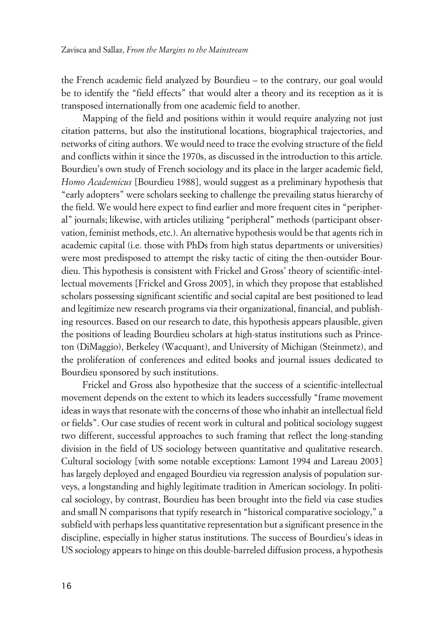the French academic field analyzed by Bourdieu – to the contrary, our goal would be to identify the "field effects" that would alter a theory and its reception as it is transposed internationally from one academic field to another.

Mapping of the field and positions within it would require analyzing not just citation patterns, but also the institutional locations, biographical trajectories, and networks of citing authors. We would need to trace the evolving structure of the field and conflicts within it since the 1970s, as discussed in the introduction to this article. Bourdieu's own study of French sociology and its place in the larger academic field, *Homo Academicus* [Bourdieu 1988], would suggest as a preliminary hypothesis that "early adopters" were scholars seeking to challenge the prevailing status hierarchy of the field. We would here expect to find earlier and more frequent cites in "peripheral" journals; likewise, with articles utilizing "peripheral" methods (participant observation, feminist methods, etc.). An alternative hypothesis would be that agents rich in academic capital (i.e. those with PhDs from high status departments or universities) were most predisposed to attempt the risky tactic of citing the then-outsider Bourdieu. This hypothesis is consistent with Frickel and Gross' theory of scientific-intellectual movements [Frickel and Gross 2005], in which they propose that established scholars possessing significant scientific and social capital are best positioned to lead and legitimize new research programs via their organizational, financial, and publishing resources. Based on our research to date, this hypothesis appears plausible, given the positions of leading Bourdieu scholars at high-status institutions such as Princeton (DiMaggio), Berkeley (Wacquant), and University of Michigan (Steinmetz), and the proliferation of conferences and edited books and journal issues dedicated to Bourdieu sponsored by such institutions.

Frickel and Gross also hypothesize that the success of a scientific-intellectual movement depends on the extent to which its leaders successfully "frame movement ideas in ways that resonate with the concerns of those who inhabit an intellectual field or fields". Our case studies of recent work in cultural and political sociology suggest two different, successful approaches to such framing that reflect the long-standing division in the field of US sociology between quantitative and qualitative research. Cultural sociology [with some notable exceptions: Lamont 1994 and Lareau 2003] has largely deployed and engaged Bourdieu via regression analysis of population surveys, a longstanding and highly legitimate tradition in American sociology. In political sociology, by contrast, Bourdieu has been brought into the field via case studies and small N comparisons that typify research in "historical comparative sociology," a subfield with perhaps less quantitative representation but a significant presence in the discipline, especially in higher status institutions. The success of Bourdieu's ideas in US sociology appears to hinge on this double-barreled diffusion process, a hypothesis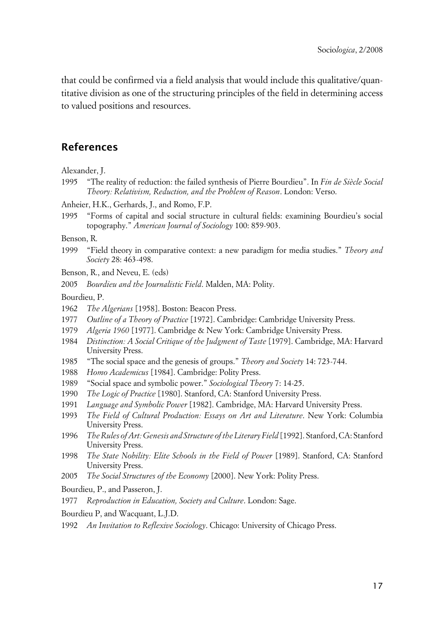that could be confirmed via a field analysis that would include this qualitative/quantitative division as one of the structuring principles of the field in determining access to valued positions and resources.

# **References**

Alexander, J.

1995 "The reality of reduction: the failed synthesis of Pierre Bourdieu". In *Fin de Siècle Social Theory: Relativism, Reduction, and the Problem of Reason*. London: Verso.

Anheier, H.K., Gerhards, J., and Romo, F.P.

1995 "Forms of capital and social structure in cultural fields: examining Bourdieu's social topography." *American Journal of Sociology* 100: 859-903.

Benson, R.

- 1999 "Field theory in comparative context: a new paradigm for media studies." *Theory and Society* 28: 463-498.
- Benson, R., and Neveu, E. (eds)
- 2005 *Bourdieu and the Journalistic Field*. Malden, MA: Polity.

Bourdieu, P.

- 1962 *The Algerians* [1958]. Boston: Beacon Press.
- 1977 *Outline of a Theory of Practice* [1972]. Cambridge: Cambridge University Press.
- 1979 *Algeria 1960* [1977]. Cambridge & New York: Cambridge University Press.
- 1984 *Distinction: A Social Critique of the Judgment of Taste* [1979]. Cambridge, MA: Harvard University Press.
- 1985 "The social space and the genesis of groups." *Theory and Society* 14: 723-744.
- 1988 *Homo Academicus* [1984]. Cambridge: Polity Press.
- 1989 "Social space and symbolic power." *Sociological Theory* 7: 14-25.
- 1990 *The Logic of Practice* [1980]. Stanford, CA: Stanford University Press.
- 1991 *Language and Symbolic Power* [1982]. Cambridge, MA: Harvard University Press.
- 1993 *The Field of Cultural Production: Essays on Art and Literature*. New York: Columbia University Press.
- 1996 *The Rules of Art: Genesis and Structure of the Literary Field* [1992]. Stanford, CA: Stanford University Press.
- 1998 *The State Nobility: Elite Schools in the Field of Power* [1989]. Stanford, CA: Stanford University Press.
- 2005 *The Social Structures of the Economy* [2000]. New York: Polity Press.
- Bourdieu, P., and Passeron, J.
- 1977 *Reproduction in Education, Society and Culture*. London: Sage.
- Bourdieu P, and Wacquant, L.J.D.
- 1992 *An Invitation to Reflexive Sociology*. Chicago: University of Chicago Press.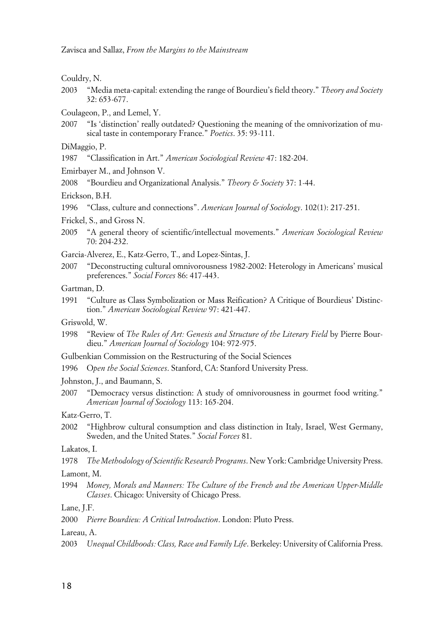#### Couldry, N.

- 2003 "Media meta-capital: extending the range of Bourdieu's field theory." *Theory and Society* 32: 653-677.
- Coulageon, P., and Lemel, Y.
- 2007 "Is 'distinction' really outdated? Questioning the meaning of the omnivorization of musical taste in contemporary France." *Poetics*. 35: 93-111.
- DiMaggio, P.
- 1987 "Classification in Art." *American Sociological Review* 47: 182-204.
- Emirbayer M., and Johnson V.
- 2008 "Bourdieu and Organizational Analysis." *Theory & Society* 37: 1-44.
- Erickson, B.H.
- 1996 "Class, culture and connections". *American Journal of Sociology*. 102(1): 217-251.
- Frickel, S., and Gross N.
- 2005 "A general theory of scientific/intellectual movements." *American Sociological Review* 70: 204-232.
- Garcia-Alverez, E., Katz-Gerro, T., and Lopez-Sintas, J.
- 2007 "Deconstructing cultural omnivorousness 1982-2002: Heterology in Americans' musical preferences." *Social Forces* 86: 417-443.
- Gartman, D.
- 1991 "Culture as Class Symbolization or Mass Reification? A Critique of Bourdieus' Distinction." *American Sociological Review* 97: 421-447.
- Griswold, W.
- 1998 "Review of *The Rules of Art: Genesis and Structure of the Literary Field* by Pierre Bourdieu." *American Journal of Sociology* 104: 972-975.
- Gulbenkian Commission on the Restructuring of the Social Sciences
- 1996 O*pen the Social Sciences*. Stanford, CA: Stanford University Press.
- Johnston, J., and Baumann, S.
- 2007 "Democracy versus distinction: A study of omnivorousness in gourmet food writing." *American Journal of Sociology* 113: 165-204.

Katz-Gerro, T.

2002 "Highbrow cultural consumption and class distinction in Italy, Israel, West Germany, Sweden, and the United States." *Social Forces* 81.

#### Lakatos, I.

1978 *The Methodology of Scientific Research Programs*. New York: Cambridge University Press.

Lamont, M.

1994 *Money, Morals and Manners: The Culture of the French and the American Upper-Middle Classes*. Chicago: University of Chicago Press.

Lane, J.F.

2000 *Pierre Bourdieu: A Critical Introduction*. London: Pluto Press.

Lareau, A.

2003 *Unequal Childhoods: Class, Race and Family Life*. Berkeley: University of California Press.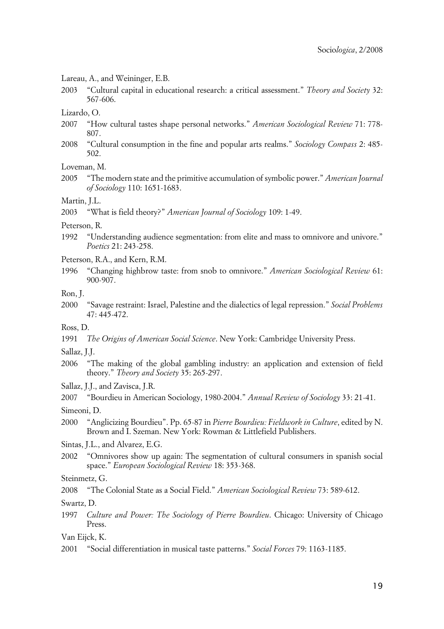Lareau, A., and Weininger, E.B.

2003 "Cultural capital in educational research: a critical assessment." *Theory and Society* 32: 567-606.

Lizardo, O.

- 2007 "How cultural tastes shape personal networks." *American Sociological Review* 71: 778- 807.
- 2008 "Cultural consumption in the fine and popular arts realms." *Sociology Compass* 2: 485- 502.

Loveman, M.

2005 "The modern state and the primitive accumulation of symbolic power." *American Journal of Sociology* 110: 1651-1683.

Martin, J.L.

2003 "What is field theory?" *American Journal of Sociology* 109: 1-49.

Peterson, R.

- 1992 "Understanding audience segmentation: from elite and mass to omnivore and univore." *Poetics* 21: 243-258.
- Peterson, R.A., and Kern, R.M.
- 1996 "Changing highbrow taste: from snob to omnivore." *American Sociological Review* 61: 900-907.

Ron, J.

2000 "Savage restraint: Israel, Palestine and the dialectics of legal repression." *Social Problems* 47: 445-472.

Ross, D.

1991 *The Origins of American Social Science*. New York: Cambridge University Press.

Sallaz, J.J.

2006 "The making of the global gambling industry: an application and extension of field theory." *Theory and Society* 35: 265-297.

Sallaz, J.J., and Zavisca, J.R.

Simeoni, D.

2000 "Anglicizing Bourdieu". Pp. 65-87 in *Pierre Bourdieu: Fieldwork in Culture*, edited by N. Brown and I. Szeman. New York: Rowman & Littlefield Publishers.

Sintas, J.L., and Alvarez, E.G.

2002 "Omnivores show up again: The segmentation of cultural consumers in spanish social space." *European Sociological Review* 18: 353-368.

Steinmetz, G.

2008 "The Colonial State as a Social Field." *American Sociological Review* 73: 589-612.

Swartz, D.

1997 *Culture and Power: The Sociology of Pierre Bourdieu*. Chicago: University of Chicago Press.

Van Eijck, K.

2001 "Social differentiation in musical taste patterns." *Social Forces* 79: 1163-1185.

<sup>2007</sup> "Bourdieu in American Sociology, 1980-2004." *Annual Review of Sociology* 33: 21-41.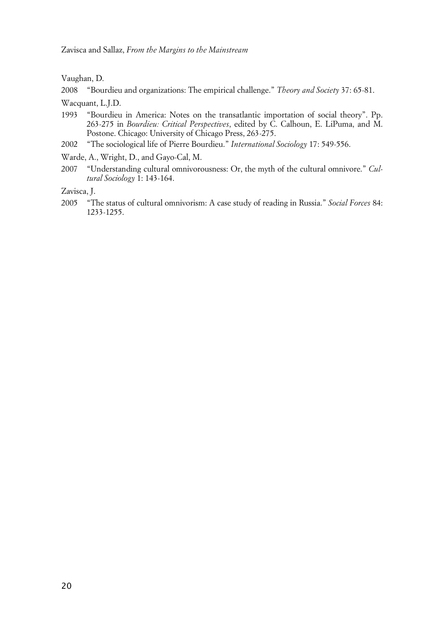Zavisca and Sallaz, *From the Margins to the Mainstream*

Vaughan, D.

2008 "Bourdieu and organizations: The empirical challenge." *Theory and Society* 37: 65-81.

Wacquant, L.J.D.

- 1993 "Bourdieu in America: Notes on the transatlantic importation of social theory". Pp. 263-275 in *Bourdieu: Critical Perspectives*, edited by C. Calhoun, E. LiPuma, and M. Postone. Chicago: University of Chicago Press, 263-275.
- 2002 "The sociological life of Pierre Bourdieu." *International Sociology* 17: 549-556.

Warde, A., Wright, D., and Gayo-Cal, M.

2007 "Understanding cultural omnivorousness: Or, the myth of the cultural omnivore." *Cultural Sociology* 1: 143-164.

Zavisca, J.

2005 "The status of cultural omnivorism: A case study of reading in Russia." *Social Forces* 84: 1233-1255.